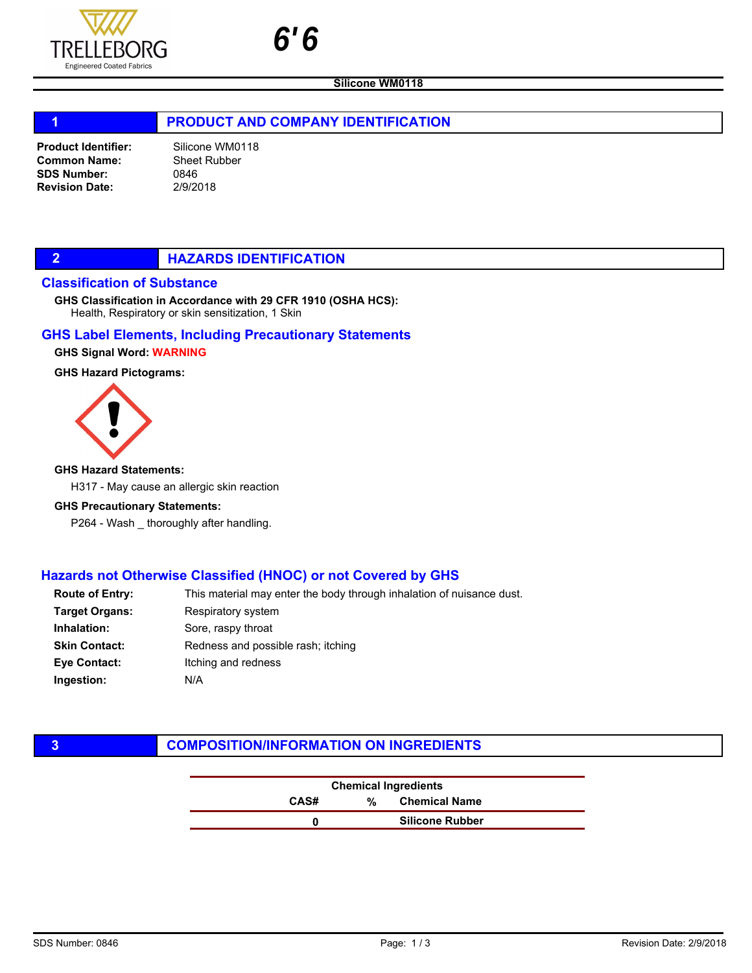

Silicone WM0118

## 1 **PRODUCT AND COMPANY IDENTIFICATION**

Product Identifier: Common Name: SDS Number: Revision Date:

Silicone WM0118 Sheet Rubber 0846 2/9/2018

# **2 HAZARDS IDENTIFICATION**

## Classification of Substance

Health, Respiratory or skin sensitization, 1 Skin GHS Classification in Accordance with 29 CFR 1910 (OSHA HCS):

## GHS Label Elements, Including Precautionary Statements

## GHS Signal Word: WARNING

## GHS Hazard Pictograms:



#### GHS Hazard Statements:

H317 - May cause an allergic skin reaction

#### GHS Precautionary Statements:

P264 - Wash \_ thoroughly after handling.

## Hazards not Otherwise Classified (HNOC) or not Covered by GHS

| <b>Route of Entry:</b> | This material may enter the body through inhalation of nuisance dust. |
|------------------------|-----------------------------------------------------------------------|
| Target Organs:         | Respiratory system                                                    |
| Inhalation:            | Sore, raspy throat                                                    |
| Skin Contact:          | Redness and possible rash; itching                                    |
| Eye Contact:           | Itching and redness                                                   |
| Ingestion:             | N/A                                                                   |
|                        |                                                                       |

# **3** COMPOSITION/INFORMATION ON INGREDIENTS

| <b>Chemical Ingredients</b> |   |                        |
|-----------------------------|---|------------------------|
| CAS#                        | % | <b>Chemical Name</b>   |
|                             |   | <b>Silicone Rubber</b> |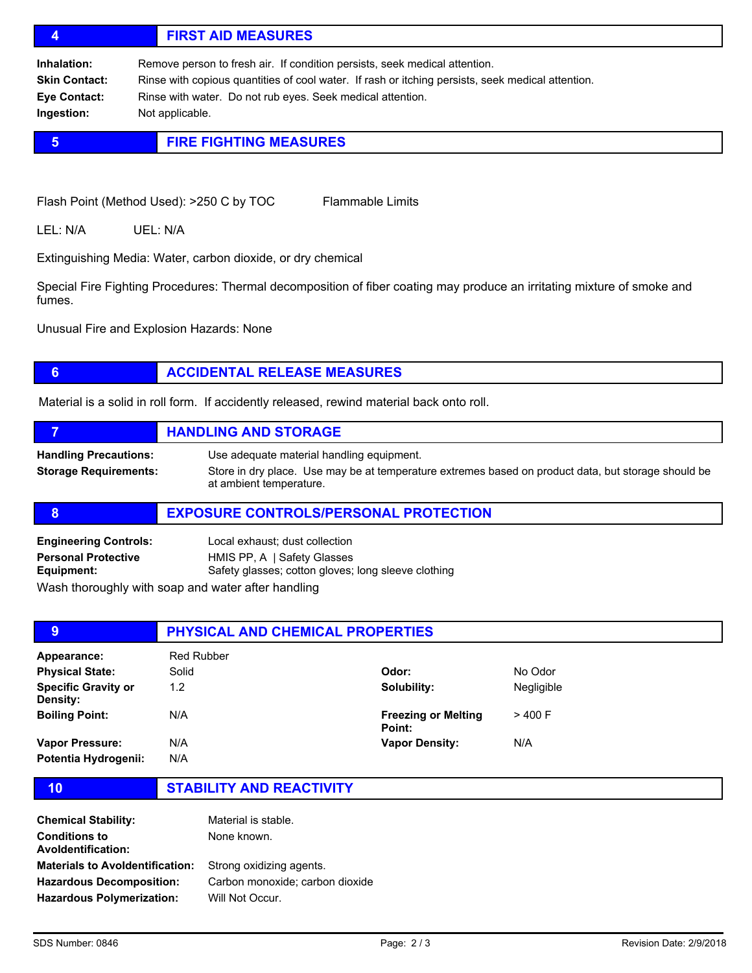## 4 FIRST AID MEASURES

Inhalation: Remove person to fresh air. If condition persists, seek medical attention. Skin Contact: Rinse with copious quantities of cool water. If rash or itching persists, seek medical attention. Eye Contact: Rinse with water. Do not rub eyes. Seek medical attention. Ingestion: Not applicable.

# **5 FIRE FIGHTING MEASURES**

Flash Point (Method Used): >250 C by TOC Flammable Limits

LEL: N/A UEL: N/A

Extinguishing Media: Water, carbon dioxide, or dry chemical

Special Fire Fighting Procedures: Thermal decomposition of fiber coating may produce an irritating mixture of smoke and fumes.

Unusual Fire and Explosion Hazards: None

# **6 ACCIDENTAL RELEASE MEASURES**

Material is a solid in roll form. If accidently released, rewind material back onto roll.

|                                                              | <b>HANDLING AND STORAGE</b>                                                                                                                                                 |
|--------------------------------------------------------------|-----------------------------------------------------------------------------------------------------------------------------------------------------------------------------|
| <b>Handling Precautions:</b><br><b>Storage Requirements:</b> | Use adequate material handling equipment.<br>Store in dry place. Use may be at temperature extremes based on product data, but storage should be<br>at ambient temperature. |

#### 8 **EXPOSURE CONTROLS/PERSONAL PROTECTION**

| <b>Engineering Controls:</b>                       | Local exhaust; dust collection                      |
|----------------------------------------------------|-----------------------------------------------------|
| Personal Protective                                | HMIS PP, A   Safety Glasses                         |
| Equipment:                                         | Safety glasses; cotton gloves; long sleeve clothing |
| Maah tharaughly with soon and water ofter bondling |                                                     |

Wash thoroughly with soap and water after handling

| 9                                             |                   | <b>PHYSICAL AND CHEMICAL PROPERTIES</b> |            |  |
|-----------------------------------------------|-------------------|-----------------------------------------|------------|--|
| Appearance:                                   | <b>Red Rubber</b> |                                         |            |  |
| <b>Physical State:</b>                        | Solid             | Odor:                                   | No Odor    |  |
| <b>Specific Gravity or</b><br><b>Density:</b> | 1.2               | Solubility:                             | Negligible |  |
| <b>Boiling Point:</b>                         | N/A               | <b>Freezing or Melting</b><br>Point:    | > 400 F    |  |
| Vapor Pressure:                               | N/A               | <b>Vapor Density:</b>                   | N/A        |  |
| Potentia Hydrogenii:                          | N/A               |                                         |            |  |

10 STABILITY AND REACTIVITY

| <b>Chemical Stability:</b>                        | Material is stable.             |
|---------------------------------------------------|---------------------------------|
| <b>Conditions to</b><br><b>Avoldentification:</b> | None known.                     |
| <b>Materials to Avoldentification:</b>            | Strong oxidizing agents.        |
| <b>Hazardous Decomposition:</b>                   | Carbon monoxide; carbon dioxide |
| <b>Hazardous Polymerization:</b>                  | Will Not Occur.                 |